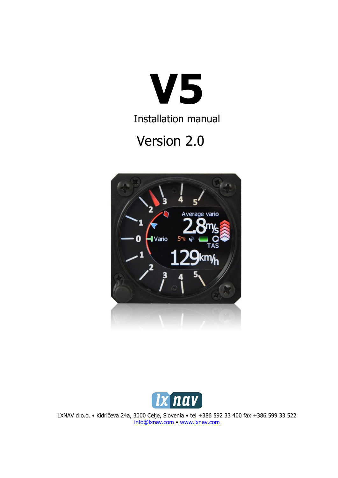

Installation manual

# Version 2.0





LXNAV d.o.o. • Kidričeva 24a, 3000 Celje, Slovenia • tel +386 592 33 400 fax +386 599 33 522 [info@lxnav.com](mailto:support@lxnavigation.si) • www.lxnav.com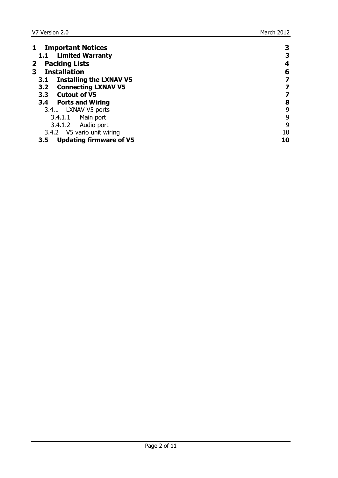| <b>Important Notices</b><br>$\mathbf{1}$ | 3  |
|------------------------------------------|----|
| 1.1 Limited Warranty                     | З  |
| <b>Packing Lists</b><br>$\mathbf{2}$     | 4  |
| 3<br><b>Installation</b>                 | 6  |
| <b>Installing the LXNAV V5</b><br>3.1    |    |
| 3.2 Connecting LXNAV V5                  | 7  |
| 3.3 Cutout of V5                         |    |
| 3.4 Ports and Wiring                     | 8  |
| 3.4.1 LXNAV V5 ports                     | 9  |
| 3.4.1.1 Main port                        | 9  |
| 3.4.1.2 Audio port                       | 9  |
| 3.4.2 V5 vario unit wiring               | 10 |
| <b>Updating firmware of V5</b><br>3.5    | 10 |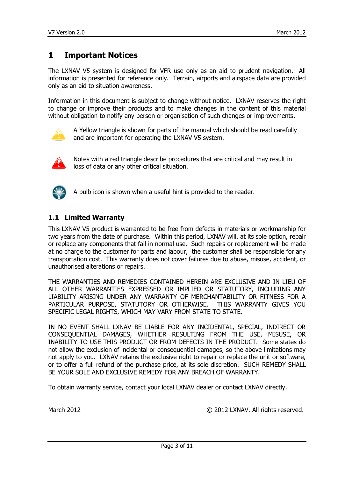# <span id="page-2-0"></span>**1 Important Notices**

The LXNAV V5 system is designed for VFR use only as an aid to prudent navigation. All information is presented for reference only. Terrain, airports and airspace data are provided only as an aid to situation awareness.

Information in this document is subject to change without notice. LXNAV reserves the right to change or improve their products and to make changes in the content of this material without obligation to notify any person or organisation of such changes or improvements.



A Yellow triangle is shown for parts of the manual which should be read carefully and are important for operating the LXNAV V5 system.



Notes with a red triangle describe procedures that are critical and may result in loss of data or any other critical situation.



A bulb icon is shown when a useful hint is provided to the reader.

#### <span id="page-2-1"></span>**1.1 Limited Warranty**

This LXNAV V5 product is warranted to be free from defects in materials or workmanship for two years from the date of purchase. Within this period, LXNAV will, at its sole option, repair or replace any components that fail in normal use. Such repairs or replacement will be made at no charge to the customer for parts and labour, the customer shall be responsible for any transportation cost. This warranty does not cover failures due to abuse, misuse, accident, or unauthorised alterations or repairs.

THE WARRANTIES AND REMEDIES CONTAINED HEREIN ARE EXCLUSIVE AND IN LIEU OF ALL OTHER WARRANTIES EXPRESSED OR IMPLIED OR STATUTORY, INCLUDING ANY LIABILITY ARISING UNDER ANY WARRANTY OF MERCHANTABILITY OR FITNESS FOR A PARTICULAR PURPOSE, STATUTORY OR OTHERWISE. THIS WARRANTY GIVES YOU SPECIFIC LEGAL RIGHTS, WHICH MAY VARY FROM STATE TO STATE.

IN NO EVENT SHALL LXNAV BE LIABLE FOR ANY INCIDENTAL, SPECIAL, INDIRECT OR CONSEQUENTIAL DAMAGES, WHETHER RESULTING FROM THE USE, MISUSE, OR INABILITY TO USE THIS PRODUCT OR FROM DEFECTS IN THE PRODUCT. Some states do not allow the exclusion of incidental or consequential damages, so the above limitations may not apply to you. LXNAV retains the exclusive right to repair or replace the unit or software, or to offer a full refund of the purchase price, at its sole discretion. SUCH REMEDY SHALL BE YOUR SOLE AND EXCLUSIVE REMEDY FOR ANY BREACH OF WARRANTY.

To obtain warranty service, contact your local LXNAV dealer or contact LXNAV directly.

March 2012 © 2012 LXNAV. All rights reserved.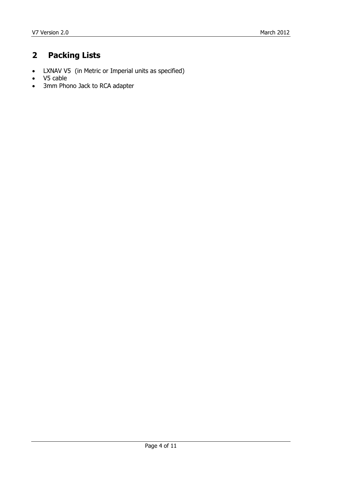# <span id="page-3-0"></span>**2 Packing Lists**

- LXNAV V5 (in Metric or Imperial units as specified)
- V5 cable
- 3mm Phono Jack to RCA adapter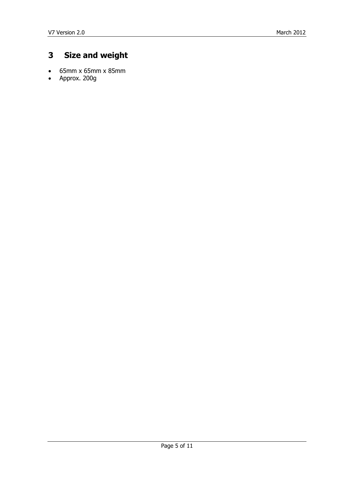# **3 Size and weight**

- 65mm x 65mm x 85mm
- Approx. 200g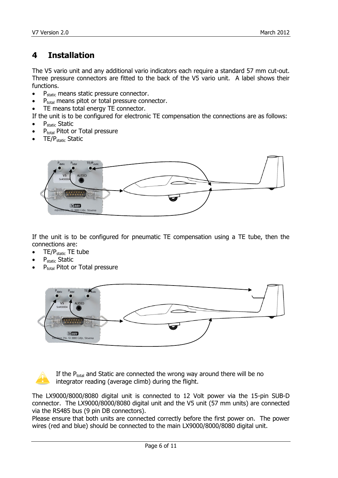# <span id="page-5-0"></span>**4 Installation**

The V5 vario unit and any additional vario indicators each require a standard 57 mm cut-out. Three pressure connectors are fitted to the back of the V5 vario unit. A label shows their functions.

- $\bullet$  P<sub>static</sub> means static pressure connector.
- P<sub>total</sub> means pitot or total pressure connector.
- TE means total energy TE connector.

If the unit is to be configured for electronic TE compensation the connections are as follows:

- Pstatic Static
- P<sub>total</sub> Pitot or Total pressure
- TE/Pstatic Static



If the unit is to be configured for pneumatic TE compensation using a TE tube, then the connections are:

- $\bullet$  TE/P<sub>static</sub> TE tube
- Pstatic Static
- P<sub>total</sub> Pitot or Total pressure





If the  $P_{total}$  and Static are connected the wrong way around there will be no integrator reading (average climb) during the flight.

The LX9000/8000/8080 digital unit is connected to 12 Volt power via the 15-pin SUB-D connector. The LX9000/8000/8080 digital unit and the V5 unit (57 mm units) are connected via the RS485 bus (9 pin DB connectors).

Please ensure that both units are connected correctly before the first power on. The power wires (red and blue) should be connected to the main LX9000/8000/8080 digital unit.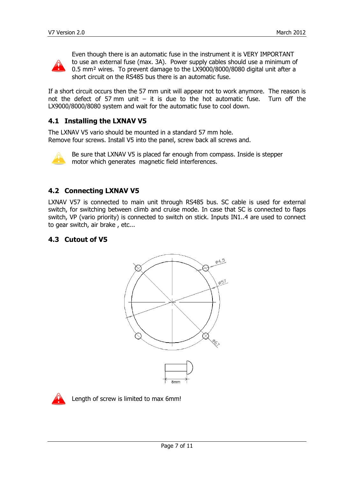

Even though there is an automatic fuse in the instrument it is VERY IMPORTANT to use an external fuse (max. 3A). Power supply cables should use a minimum of 0.5 mm² wires. To prevent damage to the LX9000/8000/8080 digital unit after a short circuit on the RS485 bus there is an automatic fuse.

If a short circuit occurs then the 57 mm unit will appear not to work anymore. The reason is not the defect of 57 mm unit  $-$  it is due to the hot automatic fuse. Turn off the LX9000/8000/8080 system and wait for the automatic fuse to cool down.

#### <span id="page-6-0"></span>**4.1 Installing the LXNAV V5**

The LXNAV V5 vario should be mounted in a standard 57 mm hole. Remove four screws. Install V5 into the panel, screw back all screws and.



Be sure that LXNAV V5 is placed far enough from compass. Inside is stepper motor which generates magnetic field interferences.

#### <span id="page-6-1"></span>**4.2 Connecting LXNAV V5**

LXNAV V57 is connected to main unit through RS485 bus. SC cable is used for external switch, for switching between climb and cruise mode. In case that SC is connected to flaps switch, VP (vario priority) is connected to switch on stick. Inputs IN1..4 are used to connect to gear switch, air brake , etc...

#### <span id="page-6-2"></span>**4.3 Cutout of V5**





Length of screw is limited to max 6mm!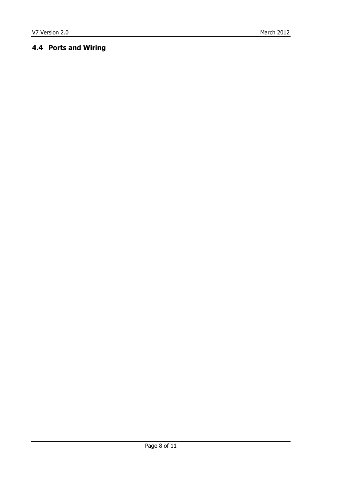## <span id="page-7-0"></span>**4.4 Ports and Wiring**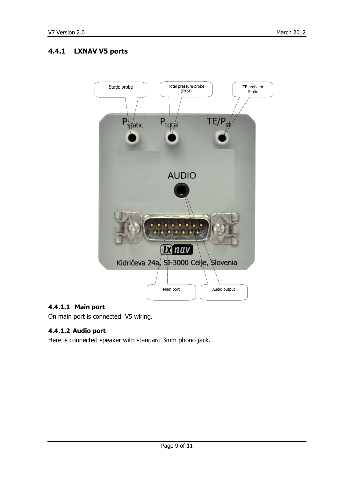## <span id="page-8-0"></span>**4.4.1 LXNAV V5 ports**



#### <span id="page-8-1"></span>**4.4.1.1 Main port**

On main port is connected V5 wiring.

#### <span id="page-8-2"></span>**4.4.1.2 Audio port**

Here is connected speaker with standard 3mm phono jack.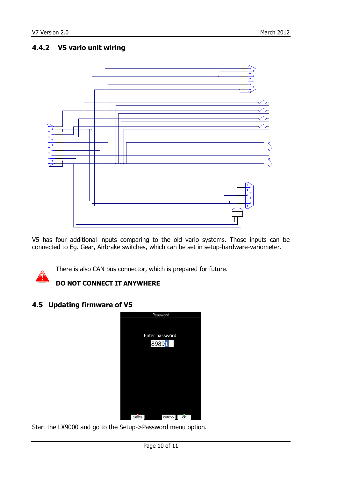## <span id="page-9-0"></span>**4.4.2 V5 vario unit wiring**



V5 has four additional inputs comparing to the old vario systems. Those inputs can be connected to Eg. Gear, Airbrake switches, which can be set in setup-hardware-variometer.



There is also CAN bus connector, which is prepared for future.

## **DO NOT CONNECT IT ANYWHERE**

#### <span id="page-9-1"></span>**4.5 Updating firmware of V5**



Start the LX9000 and go to the Setup->Password menu option.